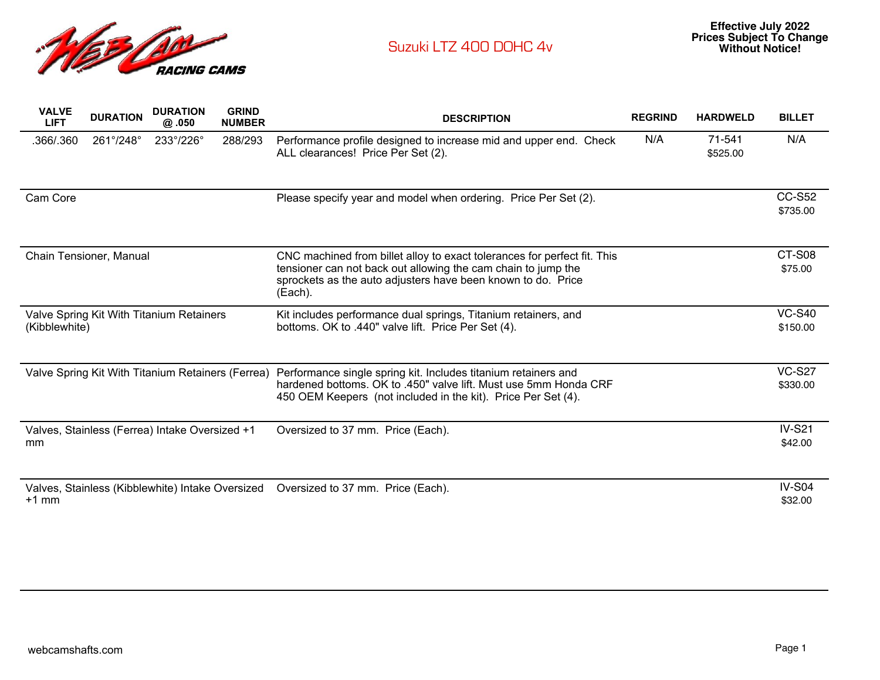

## Suzuki LTZ 400 DOHC 4v

| <b>VALVE</b><br><b>LIFT</b>                               | <b>DURATION</b> | <b>DURATION</b><br>@.050                          | <b>GRIND</b><br><b>NUMBER</b> | <b>DESCRIPTION</b>                                                                                                                                                                                                   | <b>REGRIND</b> | <b>HARDWELD</b>    | <b>BILLET</b>             |
|-----------------------------------------------------------|-----------------|---------------------------------------------------|-------------------------------|----------------------------------------------------------------------------------------------------------------------------------------------------------------------------------------------------------------------|----------------|--------------------|---------------------------|
| .366/.360                                                 | 261°/248°       | 233°/226°                                         | 288/293                       | Performance profile designed to increase mid and upper end. Check<br>ALL clearances! Price Per Set (2).                                                                                                              | N/A            | 71-541<br>\$525.00 | N/A                       |
| Cam Core                                                  |                 |                                                   |                               | Please specify year and model when ordering. Price Per Set (2).                                                                                                                                                      |                |                    | <b>CC-S52</b><br>\$735.00 |
| Chain Tensioner, Manual                                   |                 |                                                   |                               | CNC machined from billet alloy to exact tolerances for perfect fit. This<br>tensioner can not back out allowing the cam chain to jump the<br>sprockets as the auto adjusters have been known to do. Price<br>(Each). |                |                    | CT-S08<br>\$75.00         |
| Valve Spring Kit With Titanium Retainers<br>(Kibblewhite) |                 |                                                   |                               | Kit includes performance dual springs, Titanium retainers, and<br>bottoms. OK to .440" valve lift. Price Per Set (4).                                                                                                |                |                    | <b>VC-S40</b><br>\$150.00 |
|                                                           |                 | Valve Spring Kit With Titanium Retainers (Ferrea) |                               | Performance single spring kit. Includes titanium retainers and<br>hardened bottoms. OK to .450" valve lift. Must use 5mm Honda CRF<br>450 OEM Keepers (not included in the kit). Price Per Set (4).                  |                |                    | <b>VC-S27</b><br>\$330.00 |
| mm                                                        |                 | Valves, Stainless (Ferrea) Intake Oversized +1    |                               | Oversized to 37 mm. Price (Each).                                                                                                                                                                                    |                |                    | <b>IV-S21</b><br>\$42.00  |
| $+1$ mm                                                   |                 | Valves, Stainless (Kibblewhite) Intake Oversized  |                               | Oversized to 37 mm. Price (Each).                                                                                                                                                                                    |                |                    | <b>IV-S04</b><br>\$32.00  |